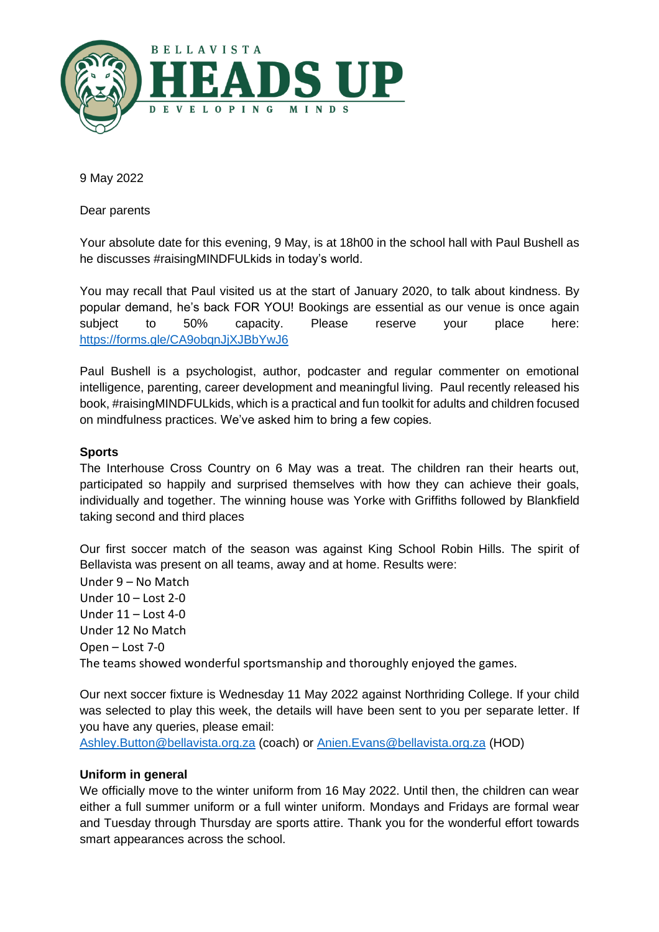

9 May 2022

Dear parents

Your absolute date for this evening, 9 May, is at 18h00 in the school hall with Paul Bushell as he discusses #raisingMINDFULkids in today's world.

You may recall that Paul visited us at the start of January 2020, to talk about kindness. By popular demand, he's back FOR YOU! Bookings are essential as our venue is once again subject to 50% capacity. Please reserve your place here: <https://forms.gle/CA9obqnJjXJBbYwJ6>

Paul Bushell is a psychologist, author, podcaster and regular commenter on emotional intelligence, parenting, career development and meaningful living. Paul recently released his book, #raisingMINDFULkids, which is a practical and fun toolkit for adults and children focused on mindfulness practices. We've asked him to bring a few copies.

# **Sports**

The Interhouse Cross Country on 6 May was a treat. The children ran their hearts out, participated so happily and surprised themselves with how they can achieve their goals, individually and together. The winning house was Yorke with Griffiths followed by Blankfield taking second and third places

Our first soccer match of the season was against King School Robin Hills. The spirit of Bellavista was present on all teams, away and at home. Results were:

Under 9 – No Match Under 10 – Lost 2-0 Under 11 – Lost 4-0 Under 12 No Match Open – Lost 7-0 The teams showed wonderful sportsmanship and thoroughly enjoyed the games.

Our next soccer fixture is Wednesday 11 May 2022 against Northriding College. If your child was selected to play this week, the details will have been sent to you per separate letter. If you have any queries, please email:

[Ashley.Button@bellavista.org.za](mailto:Ashley.Button@bellavista.org.za) (coach) or [Anien.Evans@bellavista.org.za](mailto:Anien.Evans@bellavista.org.za) (HOD)

# **Uniform in general**

We officially move to the winter uniform from 16 May 2022. Until then, the children can wear either a full summer uniform or a full winter uniform. Mondays and Fridays are formal wear and Tuesday through Thursday are sports attire. Thank you for the wonderful effort towards smart appearances across the school.